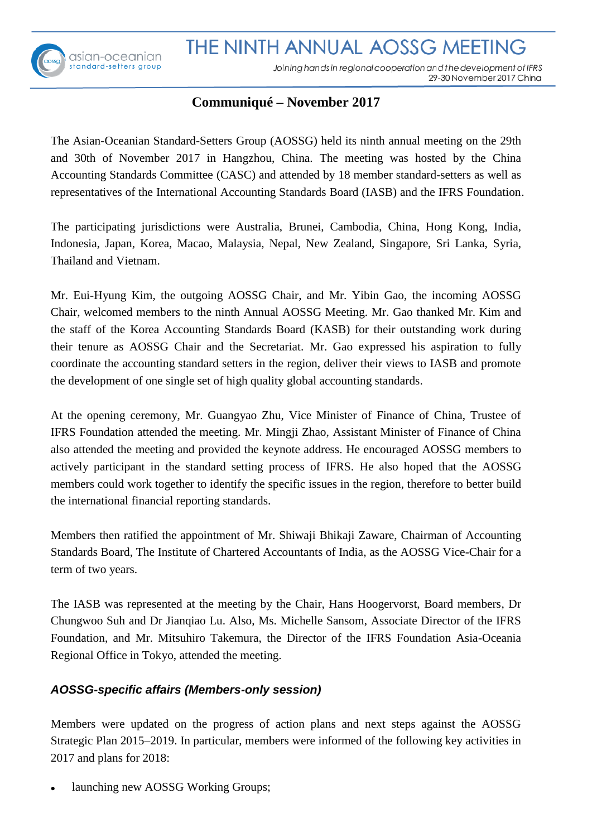# THE NINTH ANNUAL AOSSG MEETING



Joining hands in regional cooperation and the development of IFRS 29-30 November 2017 China

# **Communiqué– November 2017**

The Asian-Oceanian Standard-Setters Group (AOSSG) held its ninth annual meeting on the 29th and 30th of November 2017 in Hangzhou, China. The meeting was hosted by the China Accounting Standards Committee (CASC) and attended by 18 member standard-setters as well as representatives of the International Accounting Standards Board (IASB) and the IFRS Foundation.

The participating jurisdictions were Australia, Brunei, Cambodia, China, Hong Kong, India, Indonesia, Japan, Korea, Macao, Malaysia, Nepal, New Zealand, Singapore, Sri Lanka, Syria, Thailand and Vietnam.

Mr. Eui-Hyung Kim, the outgoing AOSSG Chair, and Mr. Yibin Gao, the incoming AOSSG Chair, welcomed members to the ninth Annual AOSSG Meeting. Mr. Gao thanked Mr. Kim and the staff of the Korea Accounting Standards Board (KASB) for their outstanding work during their tenure as AOSSG Chair and the Secretariat. Mr. Gao expressed his aspiration to fully coordinate the accounting standard setters in the region, deliver their views to IASB and promote the development of one single set of high quality global accounting standards.

At the opening ceremony, Mr. Guangyao Zhu, Vice Minister of Finance of China, Trustee of IFRS Foundation attended the meeting. Mr. Mingji Zhao, Assistant Minister of Finance of China also attended the meeting and provided the keynote address. He encouraged AOSSG members to actively participant in the standard setting process of IFRS. He also hoped that the AOSSG members could work together to identify the specific issues in the region, therefore to better build the international financial reporting standards.

Members then ratified the appointment of Mr. Shiwaji Bhikaji Zaware, Chairman of Accounting Standards Board, The Institute of Chartered Accountants of India, as the AOSSG Vice-Chair for a term of two years.

The IASB was represented at the meeting by the Chair, Hans Hoogervorst, Board members, Dr Chungwoo Suh and Dr Jianqiao Lu. Also, Ms. Michelle Sansom, Associate Director of the IFRS Foundation, and Mr. Mitsuhiro Takemura, the Director of the IFRS Foundation Asia-Oceania Regional Office in Tokyo, attended the meeting.

## *AOSSG-specific affairs (Members-only session)*

Members were updated on the progress of action plans and next steps against the AOSSG Strategic Plan 2015–2019. In particular, members were informed of the following key activities in 2017 and plans for 2018:

launching new AOSSG Working Groups;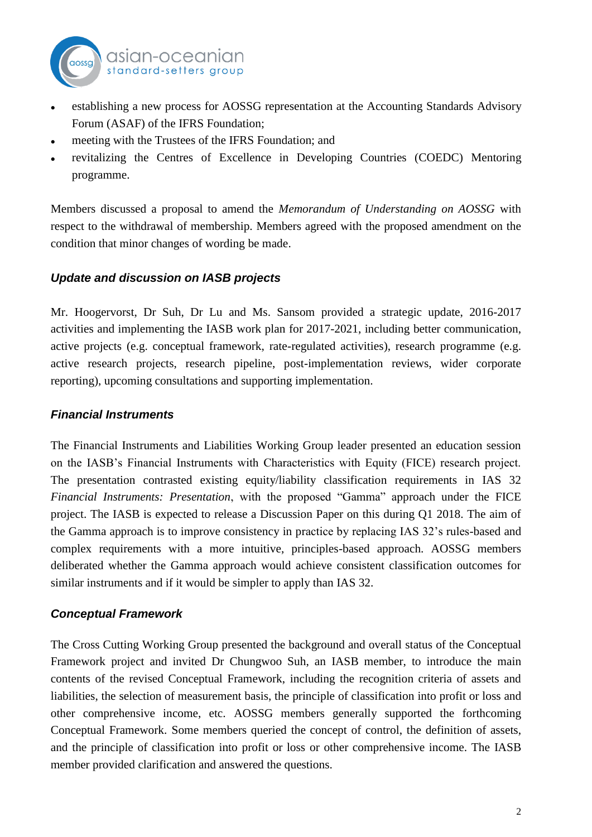

- establishing a new process for AOSSG representation at the Accounting Standards Advisory Forum (ASAF) of the IFRS Foundation;
- meeting with the Trustees of the IFRS Foundation; and
- revitalizing the Centres of Excellence in Developing Countries (COEDC) Mentoring programme.

Members discussed a proposal to amend the *Memorandum of Understanding on AOSSG* with respect to the withdrawal of membership. Members agreed with the proposed amendment on the condition that minor changes of wording be made.

## *Update and discussion on IASB projects*

Mr. Hoogervorst, Dr Suh, Dr Lu and Ms. Sansom provided a strategic update, 2016-2017 activities and implementing the IASB work plan for 2017-2021, including better communication, active projects (e.g. conceptual framework, rate-regulated activities), research programme (e.g. active research projects, research pipeline, post-implementation reviews, wider corporate reporting), upcoming consultations and supporting implementation.

## *Financial Instruments*

The Financial Instruments and Liabilities Working Group leader presented an education session on the IASB's Financial Instruments with Characteristics with Equity (FICE) research project. The presentation contrasted existing equity/liability classification requirements in IAS 32 *Financial Instruments: Presentation*, with the proposed "Gamma" approach under the FICE project. The IASB is expected to release a Discussion Paper on this during Q1 2018. The aim of the Gamma approach is to improve consistency in practice by replacing IAS 32's rules-based and complex requirements with a more intuitive, principles-based approach. AOSSG members deliberated whether the Gamma approach would achieve consistent classification outcomes for similar instruments and if it would be simpler to apply than IAS 32.

#### *Conceptual Framework*

The Cross Cutting Working Group presented the background and overall status of the Conceptual Framework project and invited Dr Chungwoo Suh, an IASB member, to introduce the main contents of the revised Conceptual Framework, including the recognition criteria of assets and liabilities, the selection of measurement basis, the principle of classification into profit or loss and other comprehensive income, etc. AOSSG members generally supported the forthcoming Conceptual Framework. Some members queried the concept of control, the definition of assets, and the principle of classification into profit or loss or other comprehensive income. The IASB member provided clarification and answered the questions.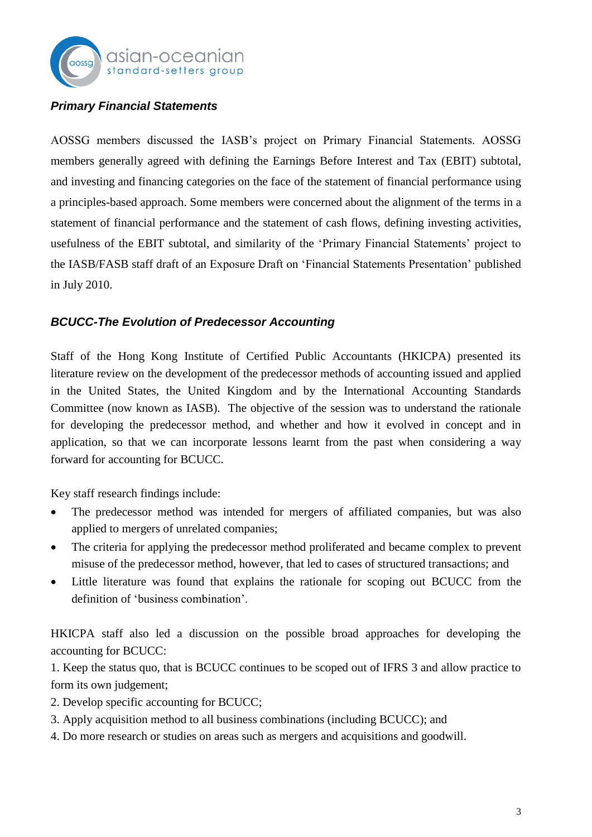

## *Primary Financial Statements*

AOSSG members discussed the IASB's project on Primary Financial Statements. AOSSG members generally agreed with defining the Earnings Before Interest and Tax (EBIT) subtotal, and investing and financing categories on the face of the statement of financial performance using a principles-based approach. Some members were concerned about the alignment of the terms in a statement of financial performance and the statement of cash flows, defining investing activities, usefulness of the EBIT subtotal, and similarity of the 'Primary Financial Statements' project to the IASB/FASB staff draft of an Exposure Draft on 'Financial Statements Presentation' published in July 2010.

#### *BCUCC-The Evolution of Predecessor Accounting*

Staff of the Hong Kong Institute of Certified Public Accountants (HKICPA) presented its literature review on the development of the predecessor methods of accounting issued and applied in the United States, the United Kingdom and by the International Accounting Standards Committee (now known as IASB). The objective of the session was to understand the rationale for developing the predecessor method, and whether and how it evolved in concept and in application, so that we can incorporate lessons learnt from the past when considering a way forward for accounting for BCUCC.

Key staff research findings include:

- The predecessor method was intended for mergers of affiliated companies, but was also applied to mergers of unrelated companies;
- The criteria for applying the predecessor method proliferated and became complex to prevent misuse of the predecessor method, however, that led to cases of structured transactions; and
- Little literature was found that explains the rationale for scoping out BCUCC from the definition of 'business combination'.

HKICPA staff also led a discussion on the possible broad approaches for developing the accounting for BCUCC:

1. Keep the status quo, that is BCUCC continues to be scoped out of IFRS 3 and allow practice to form its own judgement;

2. Develop specific accounting for BCUCC;

- 3. Apply acquisition method to all business combinations (including BCUCC); and
- 4. Do more research or studies on areas such as mergers and acquisitions and goodwill.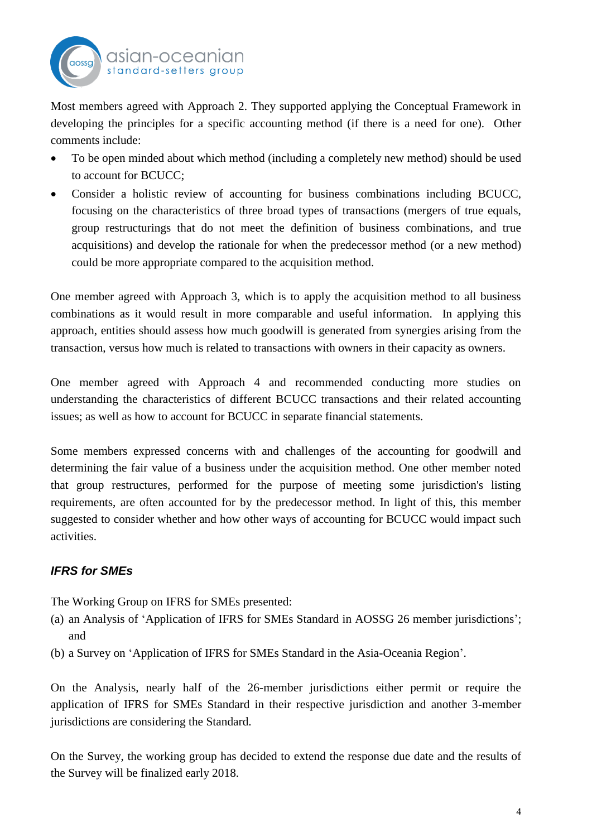

Most members agreed with Approach 2. They supported applying the Conceptual Framework in developing the principles for a specific accounting method (if there is a need for one). Other comments include:

- To be open minded about which method (including a completely new method) should be used to account for BCUCC;
- Consider a holistic review of accounting for business combinations including BCUCC, focusing on the characteristics of three broad types of transactions (mergers of true equals, group restructurings that do not meet the definition of business combinations, and true acquisitions) and develop the rationale for when the predecessor method (or a new method) could be more appropriate compared to the acquisition method.

One member agreed with Approach 3, which is to apply the acquisition method to all business combinations as it would result in more comparable and useful information. In applying this approach, entities should assess how much goodwill is generated from synergies arising from the transaction, versus how much is related to transactions with owners in their capacity as owners.

One member agreed with Approach 4 and recommended conducting more studies on understanding the characteristics of different BCUCC transactions and their related accounting issues; as well as how to account for BCUCC in separate financial statements.

Some members expressed concerns with and challenges of the accounting for goodwill and determining the fair value of a business under the acquisition method. One other member noted that group restructures, performed for the purpose of meeting some jurisdiction's listing requirements, are often accounted for by the predecessor method. In light of this, this member suggested to consider whether and how other ways of accounting for BCUCC would impact such activities.

## *IFRS for SMEs*

The Working Group on IFRS for SMEs presented:

- (a) an Analysis of 'Application of IFRS for SMEs Standard in AOSSG 26 member jurisdictions'; and
- (b) a Survey on 'Application of IFRS for SMEs Standard in the Asia-Oceania Region'.

On the Analysis, nearly half of the 26-member jurisdictions either permit or require the application of IFRS for SMEs Standard in their respective jurisdiction and another 3-member jurisdictions are considering the Standard.

On the Survey, the working group has decided to extend the response due date and the results of the Survey will be finalized early 2018.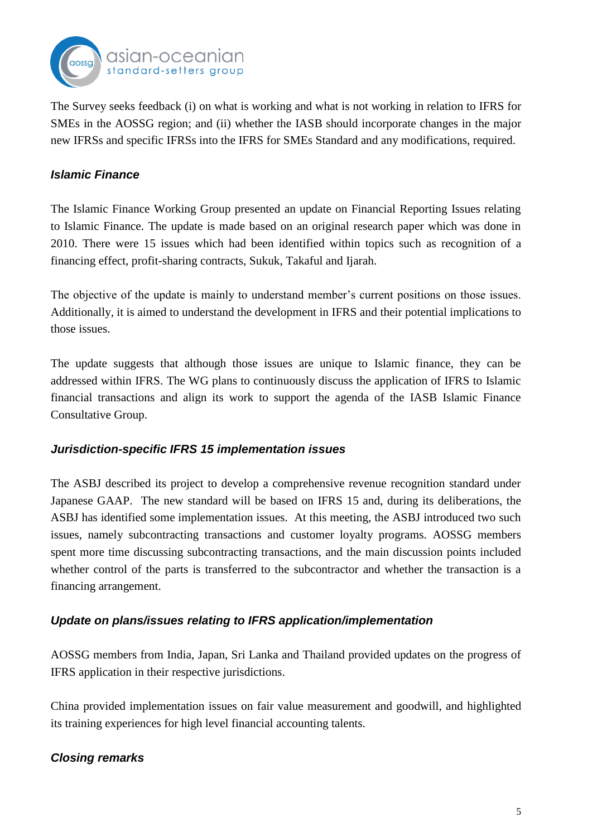

The Survey seeks feedback (i) on what is working and what is not working in relation to IFRS for SMEs in the AOSSG region; and (ii) whether the IASB should incorporate changes in the major new IFRSs and specific IFRSs into the IFRS for SMEs Standard and any modifications, required.

#### *Islamic Finance*

The Islamic Finance Working Group presented an update on Financial Reporting Issues relating to Islamic Finance. The update is made based on an original research paper which was done in 2010. There were 15 issues which had been identified within topics such as recognition of a financing effect, profit-sharing contracts, Sukuk, Takaful and Ijarah.

The objective of the update is mainly to understand member's current positions on those issues. Additionally, it is aimed to understand the development in IFRS and their potential implications to those issues.

The update suggests that although those issues are unique to Islamic finance, they can be addressed within IFRS. The WG plans to continuously discuss the application of IFRS to Islamic financial transactions and align its work to support the agenda of the IASB Islamic Finance Consultative Group.

#### *Jurisdiction-specific IFRS 15 implementation issues*

The ASBJ described its project to develop a comprehensive revenue recognition standard under Japanese GAAP. The new standard will be based on IFRS 15 and, during its deliberations, the ASBJ has identified some implementation issues. At this meeting, the ASBJ introduced two such issues, namely subcontracting transactions and customer loyalty programs. AOSSG members spent more time discussing subcontracting transactions, and the main discussion points included whether control of the parts is transferred to the subcontractor and whether the transaction is a financing arrangement.

#### *Update on plans/issues relating to IFRS application/implementation*

AOSSG members from India, Japan, Sri Lanka and Thailand provided updates on the progress of IFRS application in their respective jurisdictions.

China provided implementation issues on fair value measurement and goodwill, and highlighted its training experiences for high level financial accounting talents.

## *Closing remarks*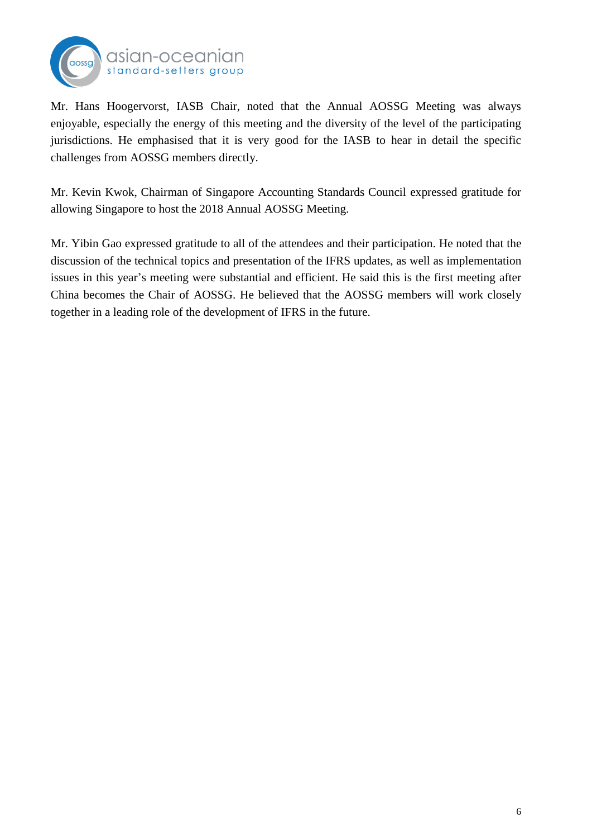

Mr. Hans Hoogervorst, IASB Chair, noted that the Annual AOSSG Meeting was always enjoyable, especially the energy of this meeting and the diversity of the level of the participating jurisdictions. He emphasised that it is very good for the IASB to hear in detail the specific challenges from AOSSG members directly.

Mr. Kevin Kwok, Chairman of Singapore Accounting Standards Council expressed gratitude for allowing Singapore to host the 2018 Annual AOSSG Meeting.

Mr. Yibin Gao expressed gratitude to all of the attendees and their participation. He noted that the discussion of the technical topics and presentation of the IFRS updates, as well as implementation issues in this year's meeting were substantial and efficient. He said this is the first meeting after China becomes the Chair of AOSSG. He believed that the AOSSG members will work closely together in a leading role of the development of IFRS in the future.